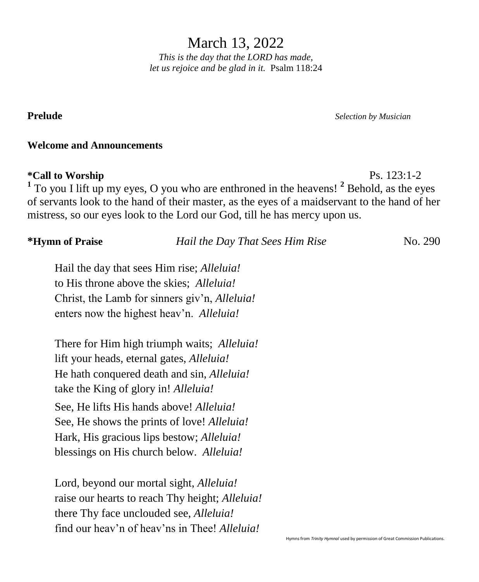March 13, 2022 *This is the day that the LORD has made,*

*let us rejoice and be glad in it.* Psalm 118:24

#### **Prelude** *Selection by Musician*

## **Welcome and Announcements**

**\*Call to Worship** Ps. 123:1-2 <sup>1</sup> To you I lift up my eyes, O you who are enthroned in the heavens! <sup>2</sup> Behold, as the eyes of servants look to the hand of their master, as the eyes of a maidservant to the hand of her mistress, so our eyes look to the Lord our God, till he has mercy upon us.

**\*Hymn of Praise** *Hail the Day That Sees Him Rise* No. 290

Hail the day that sees Him rise; *Alleluia!* to His throne above the skies; *Alleluia!* Christ, the Lamb for sinners giv'n, *Alleluia!* enters now the highest heav'n. *Alleluia!*

There for Him high triumph waits; *Alleluia!* lift your heads, eternal gates, *Alleluia!* He hath conquered death and sin, *Alleluia!* take the King of glory in! *Alleluia!*

See, He lifts His hands above! *Alleluia!* See, He shows the prints of love! *Alleluia!* Hark, His gracious lips bestow; *Alleluia!* blessings on His church below. *Alleluia!*

Lord, beyond our mortal sight, *Alleluia!* raise our hearts to reach Thy height; *Alleluia!* there Thy face unclouded see, *Alleluia!* find our heav'n of heav'ns in Thee! *Alleluia!*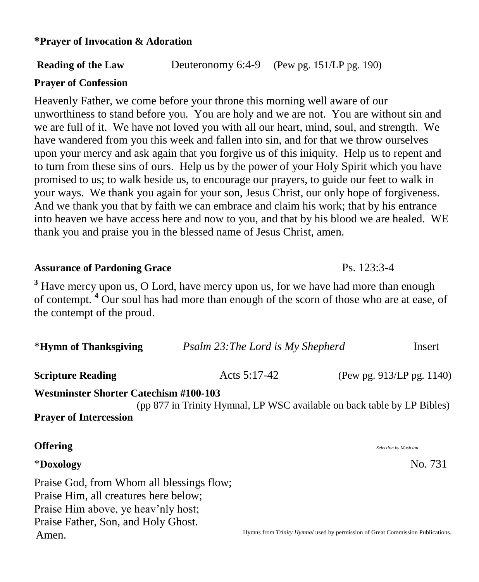# **\*Prayer of Invocation & Adoration**

# **Reading of the Law Deuteronomy 6:4-9** (Pew pg. 151/LP pg. 190)

### **Prayer of Confession**

Heavenly Father, we come before your throne this morning well aware of our unworthiness to stand before you. You are holy and we are not. You are without sin and we are full of it. We have not loved you with all our heart, mind, soul, and strength. We have wandered from you this week and fallen into sin, and for that we throw ourselves upon your mercy and ask again that you forgive us of this iniquity. Help us to repent and to turn from these sins of ours. Help us by the power of your Holy Spirit which you have promised to us; to walk beside us, to encourage our prayers, to guide our feet to walk in your ways. We thank you again for your son, Jesus Christ, our only hope of forgiveness. And we thank you that by faith we can embrace and claim his work; that by his entrance into heaven we have access here and now to you, and that by his blood we are healed. WE thank you and praise you in the blessed name of Jesus Christ, amen.

### **Assurance of Pardoning Grace** Ps. 123:3-4

**<sup>3</sup>** Have mercy upon us, O Lord, have mercy upon us, for we have had more than enough of contempt. **<sup>4</sup>** Our soul has had more than enough of the scorn of those who are at ease, of the contempt of the proud.

| *Hymn of Thanksgiving                                                          | Psalm 23: The Lord is My Shepherd                                       | Insert                       |
|--------------------------------------------------------------------------------|-------------------------------------------------------------------------|------------------------------|
| <b>Scripture Reading</b>                                                       | Acts $5:17-42$                                                          | (Pew pg. 913/LP pg. 1140)    |
| <b>Westminster Shorter Catechism #100-103</b><br><b>Prayer of Intercession</b> | (pp 877 in Trinity Hymnal, LP WSC available on back table by LP Bibles) |                              |
| <b>Offering</b>                                                                |                                                                         | <b>Selection by Musician</b> |
| *Doxology                                                                      |                                                                         | No. 731                      |

Praise God, from Whom all blessings flow; Praise Him, all creatures here below; Praise Him above, ye heav'nly host; Praise Father, Son, and Holy Ghost. Amen.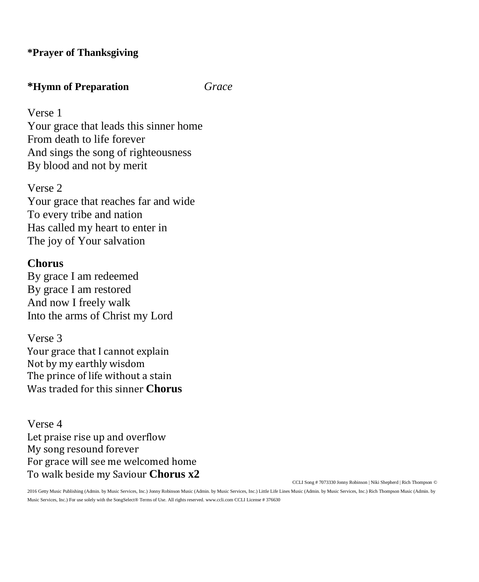**\*Prayer of Thanksgiving**

## **\*Hymn of Preparation** *Grace*

Verse 1 Your grace that leads this sinner home From death to life forever And sings the song of righteousness By blood and not by merit

Verse 2 Your grace that reaches far and wide To every tribe and nation Has called my heart to enter in The joy of Your salvation

## **Chorus**

By grace I am redeemed By grace I am restored And now I freely walk Into the arms of Christ my Lord

Verse 3 Your grace that I cannot explain Not by my earthly wisdom The prince of life without a stain Was traded for this sinner **Chorus**

Verse 4 Let praise rise up and overflow My song resound forever For grace will see me welcomed home To walk beside my Saviour **Chorus x2**

CCLI Song # 7073330 Jonny Robinson | Niki Shepherd | Rich Thompson ©

0 CCLI Song # 7073330 Jonny Robinson | Niki Shepherd | Rich Thompson<br>2016 Getty Music Services, Inc.) Jonny Robinson Music (Admin. by Music Services, Inc.) Little Life Lines Music (Admin. by Music Services, Inc.) Rich Th Music Services, Inc.) For use solely with the SongSelect® [Terms of Use.](https://songselect.ccli.com/about/termsofuse) All rights reserved. [www.ccli.com](http://www.ccli.com/) CCLI License # 376630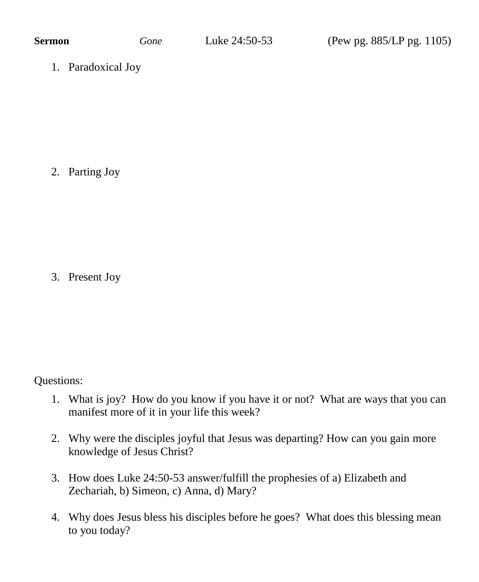1. Paradoxical Joy

2. Parting Joy

3. Present Joy

Questions:

- 1. What is joy? How do you know if you have it or not? What are ways that you can manifest more of it in your life this week?
- 2. Why were the disciples joyful that Jesus was departing? How can you gain more knowledge of Jesus Christ?
- 3. How does Luke 24:50-53 answer/fulfill the prophesies of a) Elizabeth and Zechariah, b) Simeon, c) Anna, d) Mary?
- 4. Why does Jesus bless his disciples before he goes? What does this blessing mean to you today?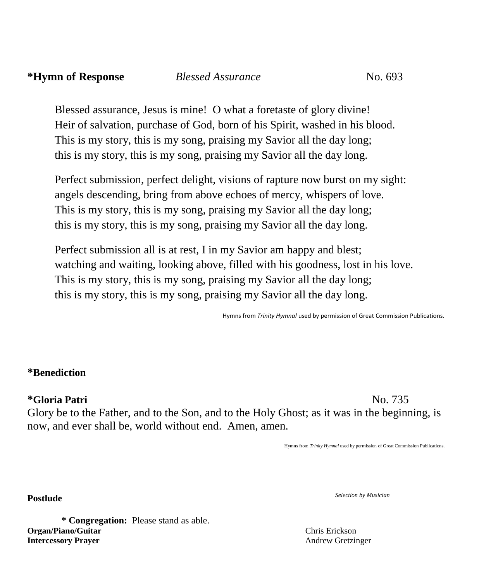Blessed assurance, Jesus is mine! O what a foretaste of glory divine! Heir of salvation, purchase of God, born of his Spirit, washed in his blood. This is my story, this is my song, praising my Savior all the day long; this is my story, this is my song, praising my Savior all the day long.

Perfect submission, perfect delight, visions of rapture now burst on my sight: angels descending, bring from above echoes of mercy, whispers of love. This is my story, this is my song, praising my Savior all the day long; this is my story, this is my song, praising my Savior all the day long.

Perfect submission all is at rest, I in my Savior am happy and blest; watching and waiting, looking above, filled with his goodness, lost in his love. This is my story, this is my song, praising my Savior all the day long; this is my story, this is my song, praising my Savior all the day long.

Hymns from *Trinity Hymnal* used by permission of Great Commission Publications.

### **\*Benediction**

## **\*Gloria Patri** No. 735

Glory be to the Father, and to the Son, and to the Holy Ghost; as it was in the beginning, is now, and ever shall be, world without end. Amen, amen.

Hymns from *Trinity Hymnal* used by permission of Great Commission Publications.

**\* Congregation:** Please stand as able. **Organ/Piano/Guitar** Chris Erickson Chris Erickson **Intercessory Prayer** Andrew Gretzinger

**Postlude** *Selection by Musician* Selection by Musician